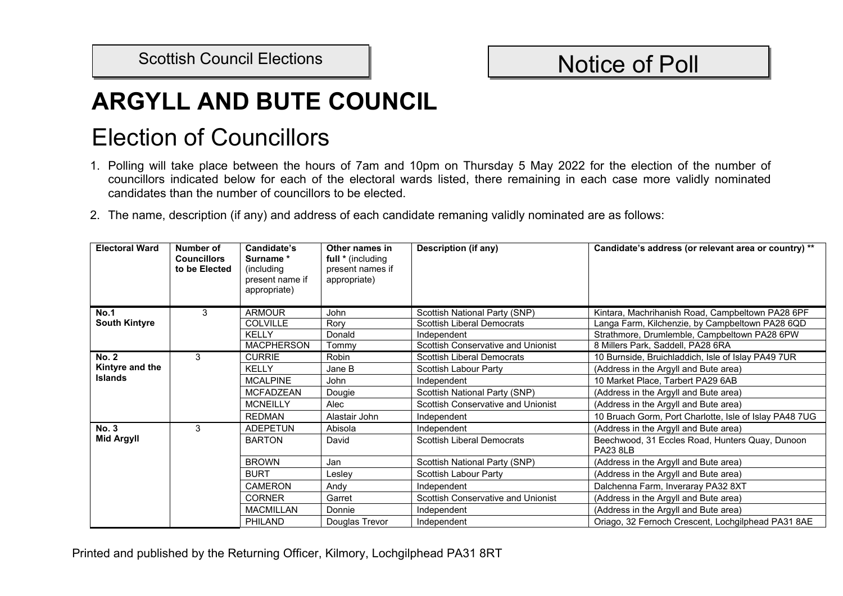## Scottish Council Elections | Notice of Poll

## **ARGYLL AND BUTE COUNCIL**

## Election of Councillors

- 1. Polling will take place between the hours of 7am and 10pm on Thursday 5 May 2022 for the election of the number of councillors indicated below for each of the electoral wards listed, there remaining in each case more validly nominated candidates than the number of councillors to be elected.
- 2. The name, description (if any) and address of each candidate remaning validly nominated are as follows:

| <b>Electoral Ward</b>             | Number of<br><b>Councillors</b><br>to be Elected | Candidate's<br>Surname*<br>(including<br>present name if<br>appropriate) | Other names in<br>full * (including<br>present names if<br>appropriate) | <b>Description (if any)</b>        | Candidate's address (or relevant area or country) **               |
|-----------------------------------|--------------------------------------------------|--------------------------------------------------------------------------|-------------------------------------------------------------------------|------------------------------------|--------------------------------------------------------------------|
| <b>No.1</b>                       | 3                                                | <b>ARMOUR</b>                                                            | John                                                                    | Scottish National Party (SNP)      | Kintara, Machrihanish Road, Campbeltown PA28 6PF                   |
| <b>South Kintyre</b>              |                                                  | <b>COLVILLE</b>                                                          | Rory                                                                    | <b>Scottish Liberal Democrats</b>  | Langa Farm, Kilchenzie, by Campbeltown PA28 6QD                    |
|                                   |                                                  | <b>KELLY</b>                                                             | Donald                                                                  | Independent                        | Strathmore, Drumlemble, Campbeltown PA28 6PW                       |
|                                   |                                                  | <b>MACPHERSON</b>                                                        | Tommv                                                                   | Scottish Conservative and Unionist | 8 Millers Park, Saddell, PA28 6RA                                  |
| <b>No. 2</b>                      | 3                                                | <b>CURRIE</b>                                                            | Robin                                                                   | <b>Scottish Liberal Democrats</b>  | 10 Burnside, Bruichladdich, Isle of Islay PA49 7UR                 |
| Kintyre and the<br><b>Islands</b> |                                                  | KFIIY                                                                    | Jane B                                                                  | Scottish Labour Party              | (Address in the Argyll and Bute area)                              |
|                                   |                                                  | <b>MCALPINE</b>                                                          | John                                                                    | Independent                        | 10 Market Place, Tarbert PA29 6AB                                  |
|                                   |                                                  | <b>MCFADZEAN</b>                                                         | Dougie                                                                  | Scottish National Party (SNP)      | (Address in the Argyll and Bute area)                              |
|                                   |                                                  | <b>MCNEILLY</b>                                                          | Alec                                                                    | Scottish Conservative and Unionist | (Address in the Argyll and Bute area)                              |
|                                   |                                                  | <b>REDMAN</b>                                                            | Alastair John                                                           | Independent                        | 10 Bruach Gorm, Port Charlotte, Isle of Islay PA48 7UG             |
| <b>No. 3</b>                      | 3                                                | <b>ADEPETUN</b>                                                          | Abisola                                                                 | Independent                        | (Address in the Argyll and Bute area)                              |
| <b>Mid Argyll</b>                 |                                                  | <b>BARTON</b>                                                            | David                                                                   | <b>Scottish Liberal Democrats</b>  | Beechwood, 31 Eccles Road, Hunters Quay, Dunoon<br><b>PA23 8LB</b> |
|                                   |                                                  | <b>BROWN</b>                                                             | Jan                                                                     | Scottish National Party (SNP)      | (Address in the Argyll and Bute area)                              |
|                                   |                                                  | <b>BURT</b>                                                              | _eslev                                                                  | Scottish Labour Party              | (Address in the Argyll and Bute area)                              |
|                                   |                                                  | <b>CAMERON</b>                                                           | Andy                                                                    | Independent                        | Dalchenna Farm, Inveraray PA32 8XT                                 |
|                                   |                                                  | <b>CORNER</b>                                                            | Garret                                                                  | Scottish Conservative and Unionist | (Address in the Argyll and Bute area)                              |
|                                   |                                                  | <b>MACMILLAN</b>                                                         | Donnie                                                                  | Independent                        | (Address in the Argyll and Bute area)                              |
|                                   |                                                  | <b>PHILAND</b>                                                           | Douglas Trevor                                                          | Independent                        | Oriago, 32 Fernoch Crescent, Lochgilphead PA31 8AE                 |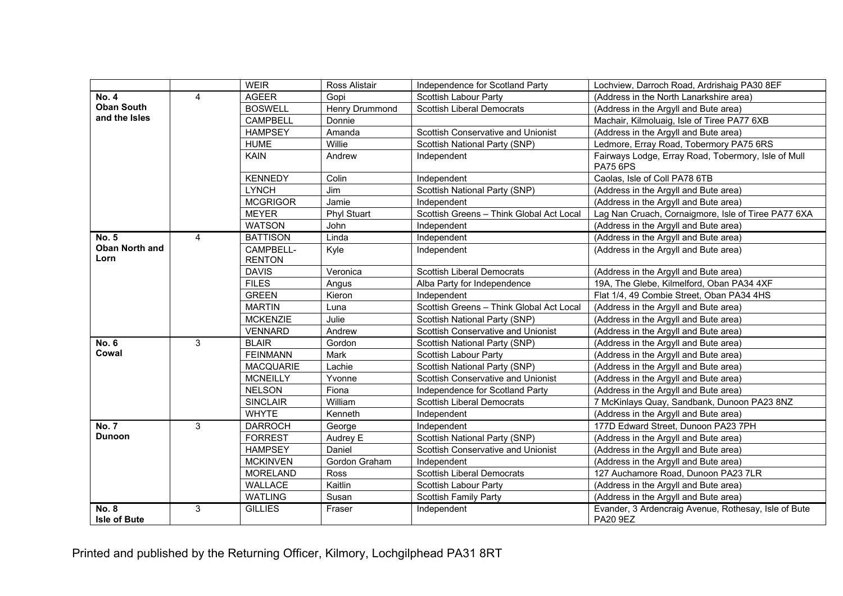|                                     |                | <b>WEIR</b>                | <b>Ross Alistair</b> | Independence for Scotland Party           | Lochview, Darroch Road, Ardrishaig PA30 8EF                             |
|-------------------------------------|----------------|----------------------------|----------------------|-------------------------------------------|-------------------------------------------------------------------------|
| <b>No. 4</b>                        | $\overline{4}$ | <b>AGEER</b>               | Gopi                 | Scottish Labour Party                     | (Address in the North Lanarkshire area)                                 |
| <b>Oban South</b>                   |                | <b>BOSWELL</b>             | Henry Drummond       | <b>Scottish Liberal Democrats</b>         | (Address in the Argyll and Bute area)                                   |
| and the Isles                       |                | <b>CAMPBELL</b>            | Donnie               |                                           | Machair, Kilmoluaig, Isle of Tiree PA77 6XB                             |
|                                     |                | <b>HAMPSEY</b>             | Amanda               | Scottish Conservative and Unionist        | (Address in the Argyll and Bute area)                                   |
|                                     |                | <b>HUME</b>                | Willie               | Scottish National Party (SNP)             | Ledmore, Erray Road, Tobermory PA75 6RS                                 |
|                                     |                | <b>KAIN</b>                | Andrew               | Independent                               | Fairways Lodge, Erray Road, Tobermory, Isle of Mull<br><b>PA75 6PS</b>  |
|                                     |                | <b>KENNEDY</b>             | Colin                | Independent                               | Caolas, Isle of Coll PA78 6TB                                           |
|                                     |                | <b>LYNCH</b>               | Jim                  | Scottish National Party (SNP)             | (Address in the Argyll and Bute area)                                   |
|                                     |                | <b>MCGRIGOR</b>            | Jamie                | Independent                               | (Address in the Argyll and Bute area)                                   |
|                                     |                | <b>MEYER</b>               | <b>Phyl Stuart</b>   | Scottish Greens - Think Global Act Local  | Lag Nan Cruach, Cornaigmore, Isle of Tiree PA77 6XA                     |
|                                     |                | <b>WATSON</b>              | John                 | Independent                               | (Address in the Argyll and Bute area)                                   |
| <b>No. 5</b>                        | $\overline{4}$ | <b>BATTISON</b>            | Linda                | Independent                               | (Address in the Argyll and Bute area)                                   |
| <b>Oban North and</b><br>Lorn       |                | CAMPBELL-<br><b>RENTON</b> | Kyle                 | Independent                               | (Address in the Argyll and Bute area)                                   |
|                                     |                | <b>DAVIS</b>               | Veronica             | <b>Scottish Liberal Democrats</b>         | (Address in the Argyll and Bute area)                                   |
|                                     |                | <b>FILES</b>               | Angus                | Alba Party for Independence               | 19A, The Glebe, Kilmelford, Oban PA34 4XF                               |
|                                     |                | <b>GREEN</b>               | Kieron               | Independent                               | Flat 1/4, 49 Combie Street, Oban PA34 4HS                               |
|                                     |                | <b>MARTIN</b>              | Luna                 | Scottish Greens - Think Global Act Local  | (Address in the Argyll and Bute area)                                   |
|                                     |                | <b>MCKENZIE</b>            | Julie                | Scottish National Party (SNP)             | (Address in the Argyll and Bute area)                                   |
|                                     |                | <b>VENNARD</b>             | Andrew               | Scottish Conservative and Unionist        | (Address in the Argyll and Bute area)                                   |
| <b>No. 6</b>                        | 3              | <b>BLAIR</b>               | Gordon               | Scottish National Party (SNP)             | (Address in the Argyll and Bute area)                                   |
| Cowal                               |                | <b>FEINMANN</b>            | Mark                 | Scottish Labour Party                     | (Address in the Argyll and Bute area)                                   |
|                                     |                | <b>MACQUARIE</b>           | Lachie               | Scottish National Party (SNP)             | (Address in the Argyll and Bute area)                                   |
|                                     |                | <b>MCNEILLY</b>            | Yvonne               | Scottish Conservative and Unionist        | (Address in the Argyll and Bute area)                                   |
|                                     |                | <b>NELSON</b>              | Fiona                | Independence for Scotland Party           | (Address in the Argyll and Bute area)                                   |
|                                     |                | <b>SINCLAIR</b>            | William              | <b>Scottish Liberal Democrats</b>         | 7 McKinlays Quay, Sandbank, Dunoon PA23 8NZ                             |
|                                     |                | <b>WHYTE</b>               | Kenneth              | Independent                               | (Address in the Argyll and Bute area)                                   |
| <b>No. 7</b>                        | 3              | <b>DARROCH</b>             | George               | Independent                               | 177D Edward Street, Dunoon PA23 7PH                                     |
| <b>Dunoon</b>                       |                | <b>FORREST</b>             | Audrey E             | Scottish National Party (SNP)             | (Address in the Argyll and Bute area)                                   |
|                                     |                | <b>HAMPSEY</b>             | Daniel               | <b>Scottish Conservative and Unionist</b> | (Address in the Argyll and Bute area)                                   |
|                                     |                | <b>MCKINVEN</b>            | Gordon Graham        | Independent                               | (Address in the Argyll and Bute area)                                   |
|                                     |                | <b>MORELAND</b>            | Ross                 | <b>Scottish Liberal Democrats</b>         | 127 Auchamore Road, Dunoon PA23 7LR                                     |
|                                     |                | <b>WALLACE</b>             | Kaitlin              | Scottish Labour Party                     | (Address in the Argyll and Bute area)                                   |
|                                     |                | <b>WATLING</b>             | Susan                | <b>Scottish Family Party</b>              | (Address in the Argyll and Bute area)                                   |
| <b>No. 8</b><br><b>Isle of Bute</b> | 3              | <b>GILLIES</b>             | Fraser               | Independent                               | Evander, 3 Ardencraig Avenue, Rothesay, Isle of Bute<br><b>PA20 9EZ</b> |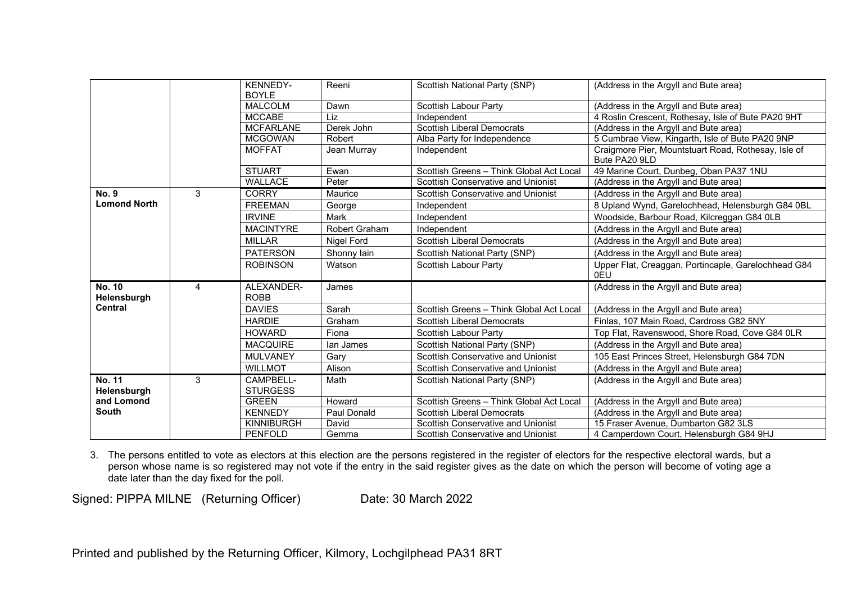|                              |   | <b>KENNEDY-</b>              | Reeni                | Scottish National Party (SNP)             | (Address in the Argyll and Bute area)                                |
|------------------------------|---|------------------------------|----------------------|-------------------------------------------|----------------------------------------------------------------------|
|                              |   | <b>BOYLE</b>                 |                      |                                           |                                                                      |
|                              |   | <b>MALCOLM</b>               | Dawn                 | Scottish Labour Party                     | (Address in the Argyll and Bute area)                                |
|                              |   | <b>MCCABE</b>                |                      |                                           |                                                                      |
|                              |   |                              | Liz                  | Independent                               | 4 Roslin Crescent, Rothesay, Isle of Bute PA20 9HT                   |
|                              |   | <b>MCFARLANE</b>             | Derek John           | <b>Scottish Liberal Democrats</b>         | (Address in the Argyll and Bute area)                                |
|                              |   | <b>MCGOWAN</b>               | Robert               | Alba Party for Independence               | 5 Cumbrae View, Kingarth, Isle of Bute PA20 9NP                      |
|                              |   | <b>MOFFAT</b>                | Jean Murray          | Independent                               | Craigmore Pier, Mountstuart Road, Rothesay, Isle of<br>Bute PA20 9LD |
|                              |   | <b>STUART</b>                | Ewan                 | Scottish Greens - Think Global Act Local  | 49 Marine Court, Dunbeg, Oban PA37 1NU                               |
|                              |   | WALLACE                      | Peter                | <b>Scottish Conservative and Unionist</b> | (Address in the Argyll and Bute area)                                |
| <b>No. 9</b>                 | 3 | <b>CORRY</b>                 | Maurice              | Scottish Conservative and Unionist        | (Address in the Argyll and Bute area)                                |
| <b>Lomond North</b>          |   | <b>FREEMAN</b>               | George               | Independent                               | 8 Upland Wynd, Garelochhead, Helensburgh G84 0BL                     |
|                              |   | <b>IRVINE</b>                | Mark                 | Independent                               | Woodside, Barbour Road, Kilcreggan G84 0LB                           |
|                              |   | <b>MACINTYRE</b>             | <b>Robert Graham</b> | Independent                               | (Address in the Argyll and Bute area)                                |
|                              |   | <b>MILLAR</b>                | <b>Nigel Ford</b>    | <b>Scottish Liberal Democrats</b>         | (Address in the Argyll and Bute area)                                |
|                              |   | <b>PATERSON</b>              | Shonny lain          | Scottish National Party (SNP)             | (Address in the Argyll and Bute area)                                |
|                              |   | <b>ROBINSON</b>              | Watson               | Scottish Labour Party                     | Upper Flat, Creaggan, Portincaple, Garelochhead G84<br>0EU           |
| <b>No. 10</b><br>Helensburgh | 4 | ALEXANDER-<br><b>ROBB</b>    | James                |                                           | (Address in the Argyll and Bute area)                                |
| <b>Central</b>               |   | <b>DAVIES</b>                | Sarah                | Scottish Greens - Think Global Act Local  | (Address in the Argyll and Bute area)                                |
|                              |   | <b>HARDIE</b>                | Graham               | <b>Scottish Liberal Democrats</b>         | Finlas, 107 Main Road, Cardross G82 5NY                              |
|                              |   | <b>HOWARD</b>                | Fiona                | Scottish Labour Party                     | Top Flat, Ravenswood, Shore Road, Cove G84 0LR                       |
|                              |   | <b>MACQUIRE</b>              | lan James            | Scottish National Party (SNP)             | (Address in the Argyll and Bute area)                                |
|                              |   | <b>MULVANEY</b>              | Gary                 | Scottish Conservative and Unionist        | 105 East Princes Street, Helensburgh G84 7DN                         |
|                              |   | <b>WILLMOT</b>               | Alison               | <b>Scottish Conservative and Unionist</b> | (Address in the Argyll and Bute area)                                |
| <b>No. 11</b><br>Helensburgh | 3 | CAMPBELL-<br><b>STURGESS</b> | Math                 | Scottish National Party (SNP)             | (Address in the Argyll and Bute area)                                |
| and Lomond                   |   | <b>GREEN</b>                 | Howard               | Scottish Greens - Think Global Act Local  | (Address in the Argyll and Bute area)                                |
| <b>South</b>                 |   | <b>KENNEDY</b>               | Paul Donald          | <b>Scottish Liberal Democrats</b>         | (Address in the Argyll and Bute area)                                |
|                              |   | <b>KINNIBURGH</b>            | David                | <b>Scottish Conservative and Unionist</b> | 15 Fraser Avenue, Dumbarton G82 3LS                                  |
|                              |   | PENFOLD                      | Gemma                | Scottish Conservative and Unionist        | 4 Camperdown Court, Helensburgh G84 9HJ                              |

3. The persons entitled to vote as electors at this election are the persons registered in the register of electors for the respective electoral wards, but a person whose name is so registered may not vote if the entry in the said register gives as the date on which the person will become of voting age a date later than the day fixed for the poll.

Signed: PIPPA MILNE (Returning Officer) Date: 30 March 2022

Printed and published by the Returning Officer, Kilmory, Lochgilphead PA31 8RT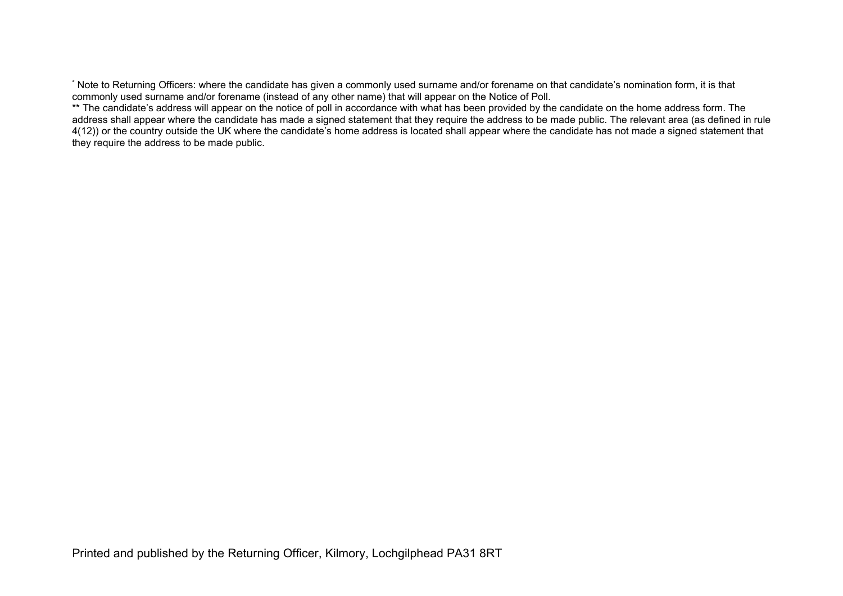\* Note to Returning Officers: where the candidate has given a commonly used surname and/or forename on that candidate's nomination form, it is that commonly used surname and/or forename (instead of any other name) that will appear on the Notice of Poll.

\*\* The candidate's address will appear on the notice of poll in accordance with what has been provided by the candidate on the home address form. The address shall appear where the candidate has made a signed statement that they require the address to be made public. The relevant area (as defined in rule 4(12)) or the country outside the UK where the candidate's home address is located shall appear where the candidate has not made a signed statement that they require the address to be made public.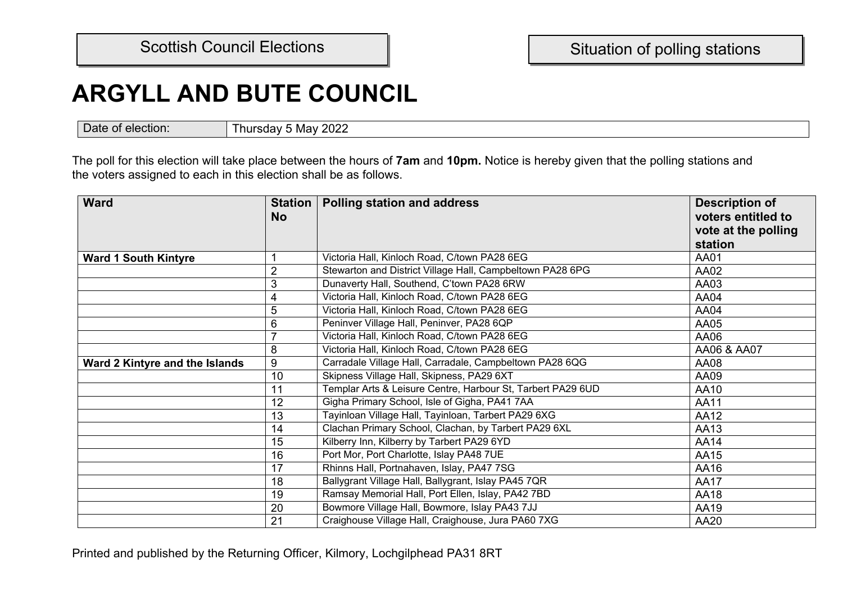## **ARGYLL AND BUTE COUNCIL**

Date of election: Thursday 5 May 2022

The poll for this election will take place between the hours of **7am** and **10pm.** Notice is hereby given that the polling stations and the voters assigned to each in this election shall be as follows.

| <b>Ward</b>                    | <b>Station</b><br><b>No</b> | <b>Polling station and address</b>                          | <b>Description of</b><br>voters entitled to |
|--------------------------------|-----------------------------|-------------------------------------------------------------|---------------------------------------------|
|                                |                             |                                                             | vote at the polling                         |
|                                |                             |                                                             | station                                     |
| <b>Ward 1 South Kintyre</b>    |                             | Victoria Hall, Kinloch Road, C/town PA28 6EG                | AA01                                        |
|                                | $\overline{2}$              | Stewarton and District Village Hall, Campbeltown PA28 6PG   | AA02                                        |
|                                | 3                           | Dunaverty Hall, Southend, C'town PA28 6RW                   | AA03                                        |
|                                | 4                           | Victoria Hall, Kinloch Road, C/town PA28 6EG                | AA04                                        |
|                                | 5                           | Victoria Hall, Kinloch Road, C/town PA28 6EG                | AA04                                        |
|                                | $6\,$                       | Peninver Village Hall, Peninver, PA28 6QP                   | AA05                                        |
|                                | $\overline{7}$              | Victoria Hall, Kinloch Road, C/town PA28 6EG                | AA06                                        |
|                                | 8                           | Victoria Hall, Kinloch Road, C/town PA28 6EG                | AA06 & AA07                                 |
| Ward 2 Kintyre and the Islands | 9                           | Carradale Village Hall, Carradale, Campbeltown PA28 6QG     | AA08                                        |
|                                | 10                          | Skipness Village Hall, Skipness, PA29 6XT                   | AA09                                        |
|                                | 11                          | Templar Arts & Leisure Centre, Harbour St, Tarbert PA29 6UD | AA10                                        |
|                                | 12                          | Gigha Primary School, Isle of Gigha, PA41 7AA               | AA11                                        |
|                                | 13                          | Tayinloan Village Hall, Tayinloan, Tarbert PA29 6XG         | AA12                                        |
|                                | 14                          | Clachan Primary School, Clachan, by Tarbert PA29 6XL        | AA13                                        |
|                                | 15                          | Kilberry Inn, Kilberry by Tarbert PA29 6YD                  | AA14                                        |
|                                | 16                          | Port Mor, Port Charlotte, Islay PA48 7UE                    | AA15                                        |
|                                | 17                          | Rhinns Hall, Portnahaven, Islay, PA47 7SG                   | AA16                                        |
|                                | 18                          | Ballygrant Village Hall, Ballygrant, Islay PA45 7QR         | <b>AA17</b>                                 |
|                                | 19                          | Ramsay Memorial Hall, Port Ellen, Islay, PA42 7BD           | AA18                                        |
|                                | 20                          | Bowmore Village Hall, Bowmore, Islay PA43 7JJ               | AA19                                        |
|                                | 21                          | Craighouse Village Hall, Craighouse, Jura PA60 7XG          | AA20                                        |

Printed and published by the Returning Officer, Kilmory, Lochgilphead PA31 8RT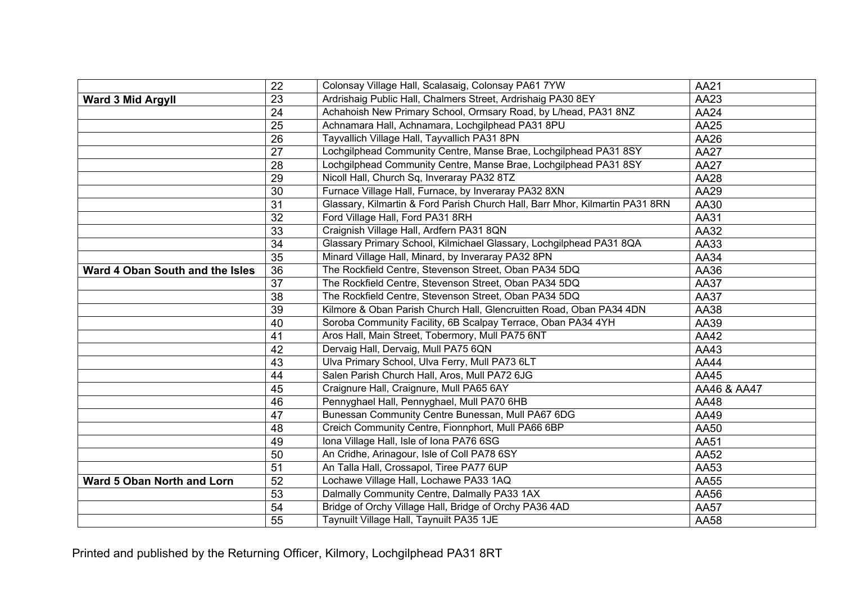|                                 | 22              | Colonsay Village Hall, Scalasaig, Colonsay PA61 7YW                          | <b>AA21</b> |
|---------------------------------|-----------------|------------------------------------------------------------------------------|-------------|
| <b>Ward 3 Mid Argyll</b>        | 23              | Ardrishaig Public Hall, Chalmers Street, Ardrishaig PA30 8EY                 | AA23        |
|                                 | 24              | Achahoish New Primary School, Ormsary Road, by L/head, PA31 8NZ              | <b>AA24</b> |
|                                 | 25              | Achnamara Hall, Achnamara, Lochgilphead PA31 8PU                             | AA25        |
|                                 | 26              | Tayvallich Village Hall, Tayvallich PA31 8PN                                 | AA26        |
|                                 | 27              | Lochgilphead Community Centre, Manse Brae, Lochgilphead PA31 8SY             | <b>AA27</b> |
|                                 | 28              | Lochgilphead Community Centre, Manse Brae, Lochgilphead PA31 8SY             | <b>AA27</b> |
|                                 | 29              | Nicoll Hall, Church Sq, Inveraray PA32 8TZ                                   | AA28        |
|                                 | 30              | Furnace Village Hall, Furnace, by Inveraray PA32 8XN                         | AA29        |
|                                 | 31              | Glassary, Kilmartin & Ford Parish Church Hall, Barr Mhor, Kilmartin PA31 8RN | AA30        |
|                                 | 32              | Ford Village Hall, Ford PA31 8RH                                             | AA31        |
|                                 | 33              | Craignish Village Hall, Ardfern PA31 8QN                                     | AA32        |
|                                 | 34              | Glassary Primary School, Kilmichael Glassary, Lochgilphead PA31 8QA          | AA33        |
|                                 | 35              | Minard Village Hall, Minard, by Inveraray PA32 8PN                           | AA34        |
| Ward 4 Oban South and the Isles | 36              | The Rockfield Centre, Stevenson Street, Oban PA34 5DQ                        | AA36        |
|                                 | $\overline{37}$ | The Rockfield Centre, Stevenson Street, Oban PA34 5DQ                        | <b>AA37</b> |
|                                 | 38              | The Rockfield Centre, Stevenson Street, Oban PA34 5DQ                        | AA37        |
|                                 | 39              | Kilmore & Oban Parish Church Hall, Glencruitten Road, Oban PA34 4DN          | AA38        |
|                                 | 40              | Soroba Community Facility, 6B Scalpay Terrace, Oban PA34 4YH                 | AA39        |
|                                 | 41              | Aros Hall, Main Street, Tobermory, Mull PA75 6NT                             | AA42        |
|                                 | 42              | Dervaig Hall, Dervaig, Mull PA75 6QN                                         | AA43        |
|                                 | 43              | Ulva Primary School, Ulva Ferry, Mull PA73 6LT                               | <b>AA44</b> |
|                                 | 44              | Salen Parish Church Hall, Aros, Mull PA72 6JG                                | AA45        |
|                                 | 45              | Craignure Hall, Craignure, Mull PA65 6AY                                     | AA46 & AA47 |
|                                 | 46              | Pennyghael Hall, Pennyghael, Mull PA70 6HB                                   | AA48        |
|                                 | 47              | Bunessan Community Centre Bunessan, Mull PA67 6DG                            | AA49        |
|                                 | 48              | Creich Community Centre, Fionnphort, Mull PA66 6BP                           | AA50        |
|                                 | 49              | Iona Village Hall, Isle of Iona PA76 6SG                                     | AA51        |
|                                 | 50              | An Cridhe, Arinagour, Isle of Coll PA78 6SY                                  | AA52        |
|                                 | 51              | An Talla Hall, Crossapol, Tiree PA77 6UP                                     | AA53        |
| Ward 5 Oban North and Lorn      | 52              | Lochawe Village Hall, Lochawe PA33 1AQ                                       | AA55        |
|                                 | 53              | Dalmally Community Centre, Dalmally PA33 1AX                                 | AA56        |
|                                 | 54              | Bridge of Orchy Village Hall, Bridge of Orchy PA36 4AD                       | <b>AA57</b> |
|                                 | 55              | Taynuilt Village Hall, Taynuilt PA35 1JE                                     | AA58        |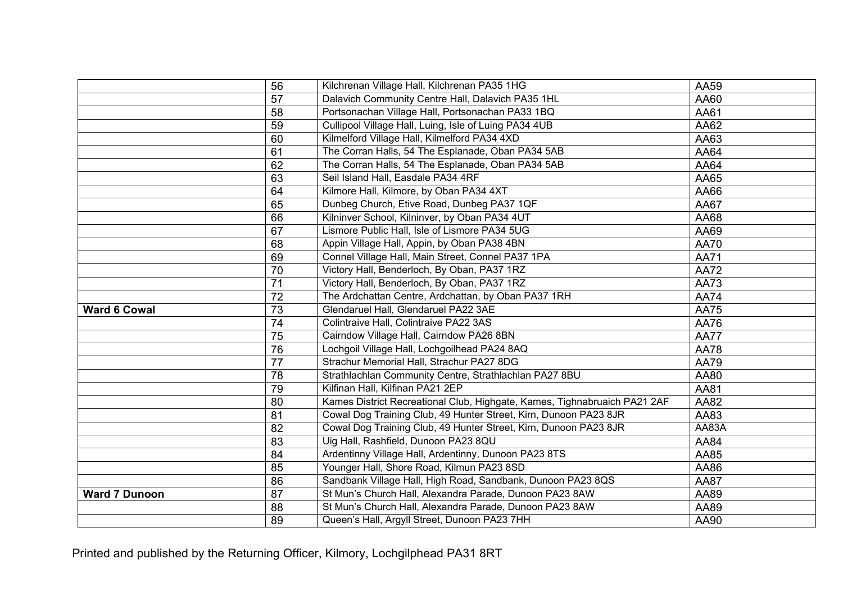|                      | 56              | Kilchrenan Village Hall, Kilchrenan PA35 1HG                              | AA59        |
|----------------------|-----------------|---------------------------------------------------------------------------|-------------|
|                      | 57              | Dalavich Community Centre Hall, Dalavich PA35 1HL                         | AA60        |
|                      | 58              | Portsonachan Village Hall, Portsonachan PA33 1BQ                          | AA61        |
|                      | 59              | Cullipool Village Hall, Luing, Isle of Luing PA34 4UB                     | AA62        |
|                      | 60              | Kilmelford Village Hall, Kilmelford PA34 4XD                              | AA63        |
|                      | 61              | The Corran Halls, 54 The Esplanade, Oban PA34 5AB                         | AA64        |
|                      | 62              | The Corran Halls, 54 The Esplanade, Oban PA34 5AB                         | AA64        |
|                      | 63              | Seil Island Hall, Easdale PA34 4RF                                        | AA65        |
|                      | 64              | Kilmore Hall, Kilmore, by Oban PA34 4XT                                   | AA66        |
|                      | 65              | Dunbeg Church, Etive Road, Dunbeg PA37 1QF                                | AA67        |
|                      | 66              | Kilninver School, Kilninver, by Oban PA34 4UT                             | AA68        |
|                      | 67              | Lismore Public Hall, Isle of Lismore PA34 5UG                             | AA69        |
|                      | 68              | Appin Village Hall, Appin, by Oban PA38 4BN                               | <b>AA70</b> |
|                      | 69              | Connel Village Hall, Main Street, Connel PA37 1PA                         | <b>AA71</b> |
|                      | 70              | Victory Hall, Benderloch, By Oban, PA37 1RZ                               | <b>AA72</b> |
|                      | $\overline{71}$ | Victory Hall, Benderloch, By Oban, PA37 1RZ                               | AA73        |
|                      | 72              | The Ardchattan Centre, Ardchattan, by Oban PA37 1RH                       | <b>AA74</b> |
| <b>Ward 6 Cowal</b>  | 73              | Glendaruel Hall, Glendaruel PA22 3AE                                      | <b>AA75</b> |
|                      | 74              | Colintraive Hall, Colintraive PA22 3AS                                    | AA76        |
|                      | 75              | Cairndow Village Hall, Cairndow PA26 8BN                                  | <b>AA77</b> |
|                      | 76              | Lochgoil Village Hall, Lochgoilhead PA24 8AQ                              | <b>AA78</b> |
|                      | 77              | Strachur Memorial Hall, Strachur PA27 8DG                                 | <b>AA79</b> |
|                      | 78              | Strathlachlan Community Centre, Strathlachlan PA27 8BU                    | AA80        |
|                      | 79              | Kilfinan Hall, Kilfinan PA21 2EP                                          | AA81        |
|                      | 80              | Kames District Recreational Club, Highgate, Kames, Tighnabruaich PA21 2AF | AA82        |
|                      | 81              | Cowal Dog Training Club, 49 Hunter Street, Kirn, Dunoon PA23 8JR          | AA83        |
|                      | 82              | Cowal Dog Training Club, 49 Hunter Street, Kirn, Dunoon PA23 8JR          | AA83A       |
|                      | 83              | Uig Hall, Rashfield, Dunoon PA23 8QU                                      | AA84        |
|                      | 84              | Ardentinny Village Hall, Ardentinny, Dunoon PA23 8TS                      | AA85        |
|                      | 85              | Younger Hall, Shore Road, Kilmun PA23 8SD                                 | AA86        |
|                      | 86              | Sandbank Village Hall, High Road, Sandbank, Dunoon PA23 8QS               | <b>AA87</b> |
| <b>Ward 7 Dunoon</b> | 87              | St Mun's Church Hall, Alexandra Parade, Dunoon PA23 8AW                   | AA89        |
|                      | 88              | St Mun's Church Hall, Alexandra Parade, Dunoon PA23 8AW                   | AA89        |
|                      | 89              | Queen's Hall, Argyll Street, Dunoon PA23 7HH                              | AA90        |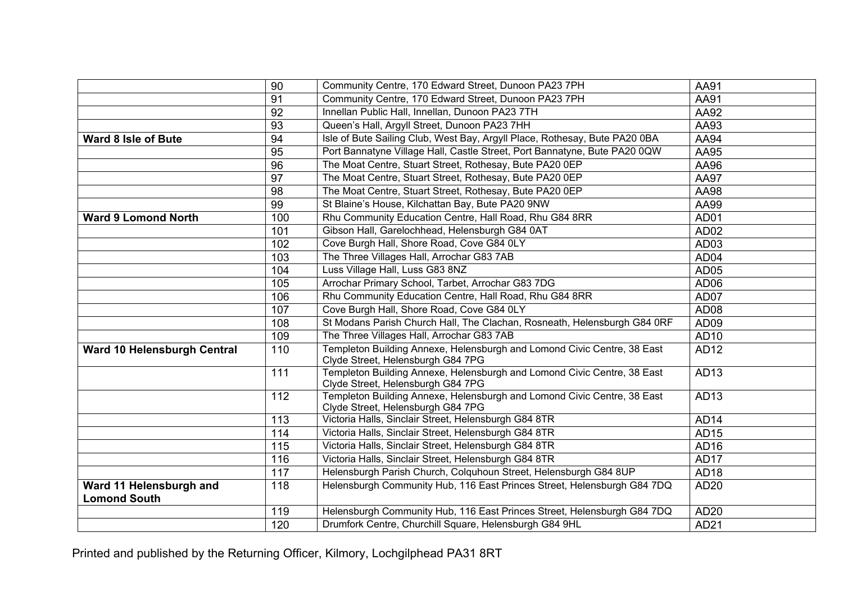|                                                | 90  | Community Centre, 170 Edward Street, Dunoon PA23 7PH                                                         | AA91             |
|------------------------------------------------|-----|--------------------------------------------------------------------------------------------------------------|------------------|
|                                                | 91  | Community Centre, 170 Edward Street, Dunoon PA23 7PH                                                         | AA91             |
|                                                | 92  | Innellan Public Hall, Innellan, Dunoon PA23 7TH                                                              | AA92             |
|                                                | 93  | Queen's Hall, Argyll Street, Dunoon PA23 7HH                                                                 | AA93             |
| <b>Ward 8 Isle of Bute</b>                     | 94  | Isle of Bute Sailing Club, West Bay, Argyll Place, Rothesay, Bute PA20 0BA                                   | AA94             |
|                                                | 95  | Port Bannatyne Village Hall, Castle Street, Port Bannatyne, Bute PA20 0QW                                    | AA95             |
|                                                | 96  | The Moat Centre, Stuart Street, Rothesay, Bute PA20 0EP                                                      | AA96             |
|                                                | 97  | The Moat Centre, Stuart Street, Rothesay, Bute PA20 0EP                                                      | <b>AA97</b>      |
|                                                | 98  | The Moat Centre, Stuart Street, Rothesay, Bute PA20 0EP                                                      | AA98             |
|                                                | 99  | St Blaine's House, Kilchattan Bay, Bute PA20 9NW                                                             | AA99             |
| <b>Ward 9 Lomond North</b>                     | 100 | Rhu Community Education Centre, Hall Road, Rhu G84 8RR                                                       | AD01             |
|                                                | 101 | Gibson Hall, Garelochhead, Helensburgh G84 0AT                                                               | AD <sub>02</sub> |
|                                                | 102 | Cove Burgh Hall, Shore Road, Cove G84 0LY                                                                    | AD <sub>03</sub> |
|                                                | 103 | The Three Villages Hall, Arrochar G83 7AB                                                                    | AD <sub>04</sub> |
|                                                | 104 | Luss Village Hall, Luss G83 8NZ                                                                              | AD <sub>05</sub> |
|                                                | 105 | Arrochar Primary School, Tarbet, Arrochar G83 7DG                                                            | AD <sub>06</sub> |
|                                                | 106 | Rhu Community Education Centre, Hall Road, Rhu G84 8RR                                                       | AD07             |
|                                                | 107 | Cove Burgh Hall, Shore Road, Cove G84 0LY                                                                    | AD <sub>08</sub> |
|                                                | 108 | St Modans Parish Church Hall, The Clachan, Rosneath, Helensburgh G84 0RF                                     | AD <sub>09</sub> |
|                                                | 109 | The Three Villages Hall, Arrochar G83 7AB                                                                    | AD10             |
| Ward 10 Helensburgh Central                    | 110 | Templeton Building Annexe, Helensburgh and Lomond Civic Centre, 38 East<br>Clyde Street, Helensburgh G84 7PG | AD12             |
|                                                | 111 | Templeton Building Annexe, Helensburgh and Lomond Civic Centre, 38 East<br>Clyde Street, Helensburgh G84 7PG | AD13             |
|                                                | 112 | Templeton Building Annexe, Helensburgh and Lomond Civic Centre, 38 East<br>Clyde Street, Helensburgh G84 7PG | AD13             |
|                                                | 113 | Victoria Halls, Sinclair Street, Helensburgh G84 8TR                                                         | AD <sub>14</sub> |
|                                                | 114 | Victoria Halls, Sinclair Street, Helensburgh G84 8TR                                                         | AD15             |
|                                                | 115 | Victoria Halls, Sinclair Street, Helensburgh G84 8TR                                                         | AD <sub>16</sub> |
|                                                | 116 | Victoria Halls, Sinclair Street, Helensburgh G84 8TR                                                         | AD <sub>17</sub> |
|                                                | 117 | Helensburgh Parish Church, Colquhoun Street, Helensburgh G84 8UP                                             | AD <sub>18</sub> |
| Ward 11 Helensburgh and<br><b>Lomond South</b> | 118 | Helensburgh Community Hub, 116 East Princes Street, Helensburgh G84 7DQ                                      | AD20             |
|                                                | 119 | Helensburgh Community Hub, 116 East Princes Street, Helensburgh G84 7DQ                                      | AD20             |
|                                                | 120 | Drumfork Centre, Churchill Square, Helensburgh G84 9HL                                                       | AD21             |

Printed and published by the Returning Officer, Kilmory, Lochgilphead PA31 8RT